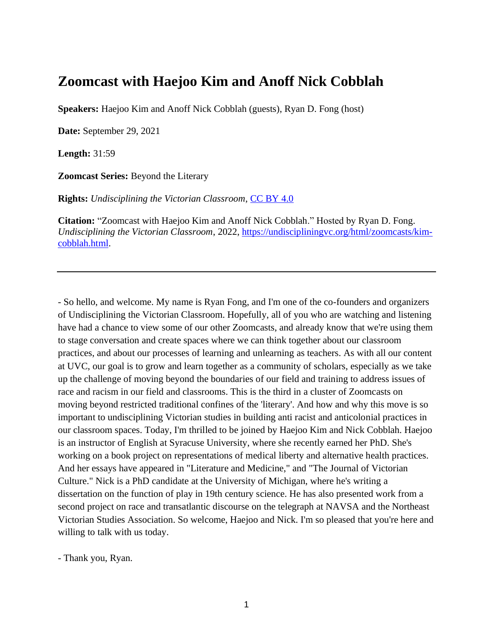## **Zoomcast with Haejoo Kim and Anoff Nick Cobblah**

**Speakers:** Haejoo Kim and Anoff Nick Cobblah (guests), Ryan D. Fong (host)

**Date:** September 29, 2021

**Length:** 31:59

**Zoomcast Series:** Beyond the Literary

**Rights:** *Undisciplining the Victorian Classroom*, [CC BY 4.0](https://creativecommons.org/licenses/by/4.0/)

**Citation:** "Zoomcast with Haejoo Kim and Anoff Nick Cobblah." Hosted by Ryan D. Fong. *Undisciplining the Victorian Classroom*, 2022, [https://undiscipliningvc.org/html/zoomcasts/kim](https://undiscipliningvc.org/html/zoomcasts/kim-cobblah.html)[cobblah.html.](https://undiscipliningvc.org/html/zoomcasts/kim-cobblah.html)

- So hello, and welcome. My name is Ryan Fong, and I'm one of the co-founders and organizers of Undisciplining the Victorian Classroom. Hopefully, all of you who are watching and listening have had a chance to view some of our other Zoomcasts, and already know that we're using them to stage conversation and create spaces where we can think together about our classroom practices, and about our processes of learning and unlearning as teachers. As with all our content at UVC, our goal is to grow and learn together as a community of scholars, especially as we take up the challenge of moving beyond the boundaries of our field and training to address issues of race and racism in our field and classrooms. This is the third in a cluster of Zoomcasts on moving beyond restricted traditional confines of the 'literary'. And how and why this move is so important to undisciplining Victorian studies in building anti racist and anticolonial practices in our classroom spaces. Today, I'm thrilled to be joined by Haejoo Kim and Nick Cobblah. Haejoo is an instructor of English at Syracuse University, where she recently earned her PhD. She's working on a book project on representations of medical liberty and alternative health practices. And her essays have appeared in "Literature and Medicine," and "The Journal of Victorian Culture." Nick is a PhD candidate at the University of Michigan, where he's writing a dissertation on the function of play in 19th century science. He has also presented work from a second project on race and transatlantic discourse on the telegraph at NAVSA and the Northeast Victorian Studies Association. So welcome, Haejoo and Nick. I'm so pleased that you're here and willing to talk with us today.

- Thank you, Ryan.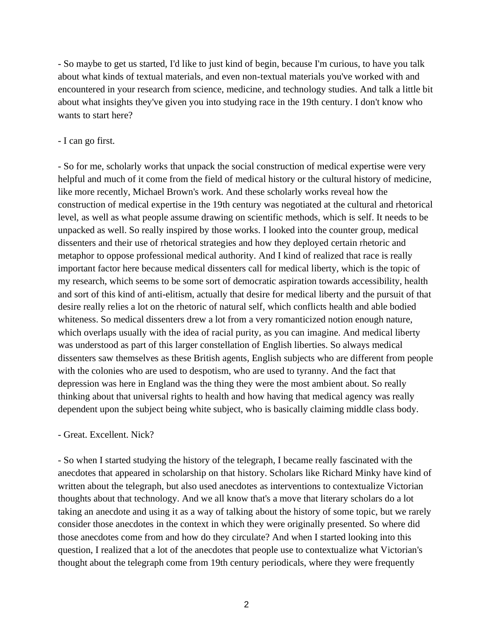- So maybe to get us started, I'd like to just kind of begin, because I'm curious, to have you talk about what kinds of textual materials, and even non-textual materials you've worked with and encountered in your research from science, medicine, and technology studies. And talk a little bit about what insights they've given you into studying race in the 19th century. I don't know who wants to start here?

## - I can go first.

- So for me, scholarly works that unpack the social construction of medical expertise were very helpful and much of it come from the field of medical history or the cultural history of medicine, like more recently, Michael Brown's work. And these scholarly works reveal how the construction of medical expertise in the 19th century was negotiated at the cultural and rhetorical level, as well as what people assume drawing on scientific methods, which is self. It needs to be unpacked as well. So really inspired by those works. I looked into the counter group, medical dissenters and their use of rhetorical strategies and how they deployed certain rhetoric and metaphor to oppose professional medical authority. And I kind of realized that race is really important factor here because medical dissenters call for medical liberty, which is the topic of my research, which seems to be some sort of democratic aspiration towards accessibility, health and sort of this kind of anti-elitism, actually that desire for medical liberty and the pursuit of that desire really relies a lot on the rhetoric of natural self, which conflicts health and able bodied whiteness. So medical dissenters drew a lot from a very romanticized notion enough nature, which overlaps usually with the idea of racial purity, as you can imagine. And medical liberty was understood as part of this larger constellation of English liberties. So always medical dissenters saw themselves as these British agents, English subjects who are different from people with the colonies who are used to despotism, who are used to tyranny. And the fact that depression was here in England was the thing they were the most ambient about. So really thinking about that universal rights to health and how having that medical agency was really dependent upon the subject being white subject, who is basically claiming middle class body.

## - Great. Excellent. Nick?

- So when I started studying the history of the telegraph, I became really fascinated with the anecdotes that appeared in scholarship on that history. Scholars like Richard Minky have kind of written about the telegraph, but also used anecdotes as interventions to contextualize Victorian thoughts about that technology. And we all know that's a move that literary scholars do a lot taking an anecdote and using it as a way of talking about the history of some topic, but we rarely consider those anecdotes in the context in which they were originally presented. So where did those anecdotes come from and how do they circulate? And when I started looking into this question, I realized that a lot of the anecdotes that people use to contextualize what Victorian's thought about the telegraph come from 19th century periodicals, where they were frequently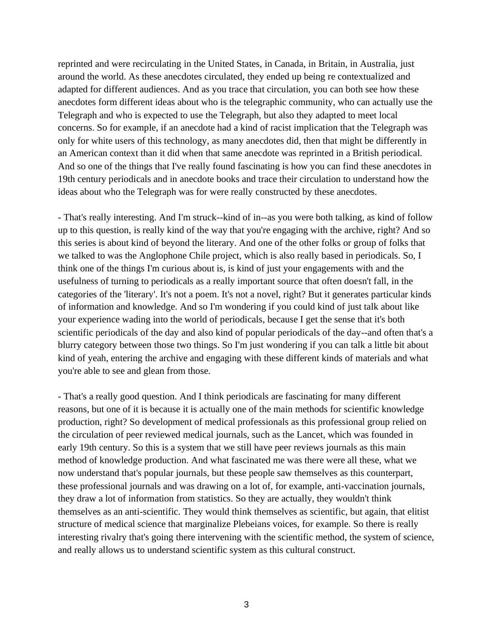reprinted and were recirculating in the United States, in Canada, in Britain, in Australia, just around the world. As these anecdotes circulated, they ended up being re contextualized and adapted for different audiences. And as you trace that circulation, you can both see how these anecdotes form different ideas about who is the telegraphic community, who can actually use the Telegraph and who is expected to use the Telegraph, but also they adapted to meet local concerns. So for example, if an anecdote had a kind of racist implication that the Telegraph was only for white users of this technology, as many anecdotes did, then that might be differently in an American context than it did when that same anecdote was reprinted in a British periodical. And so one of the things that I've really found fascinating is how you can find these anecdotes in 19th century periodicals and in anecdote books and trace their circulation to understand how the ideas about who the Telegraph was for were really constructed by these anecdotes.

- That's really interesting. And I'm struck--kind of in--as you were both talking, as kind of follow up to this question, is really kind of the way that you're engaging with the archive, right? And so this series is about kind of beyond the literary. And one of the other folks or group of folks that we talked to was the Anglophone Chile project, which is also really based in periodicals. So, I think one of the things I'm curious about is, is kind of just your engagements with and the usefulness of turning to periodicals as a really important source that often doesn't fall, in the categories of the 'literary'. It's not a poem. It's not a novel, right? But it generates particular kinds of information and knowledge. And so I'm wondering if you could kind of just talk about like your experience wading into the world of periodicals, because I get the sense that it's both scientific periodicals of the day and also kind of popular periodicals of the day--and often that's a blurry category between those two things. So I'm just wondering if you can talk a little bit about kind of yeah, entering the archive and engaging with these different kinds of materials and what you're able to see and glean from those.

- That's a really good question. And I think periodicals are fascinating for many different reasons, but one of it is because it is actually one of the main methods for scientific knowledge production, right? So development of medical professionals as this professional group relied on the circulation of peer reviewed medical journals, such as the Lancet, which was founded in early 19th century. So this is a system that we still have peer reviews journals as this main method of knowledge production. And what fascinated me was there were all these, what we now understand that's popular journals, but these people saw themselves as this counterpart, these professional journals and was drawing on a lot of, for example, anti-vaccination journals, they draw a lot of information from statistics. So they are actually, they wouldn't think themselves as an anti-scientific. They would think themselves as scientific, but again, that elitist structure of medical science that marginalize Plebeians voices, for example. So there is really interesting rivalry that's going there intervening with the scientific method, the system of science, and really allows us to understand scientific system as this cultural construct.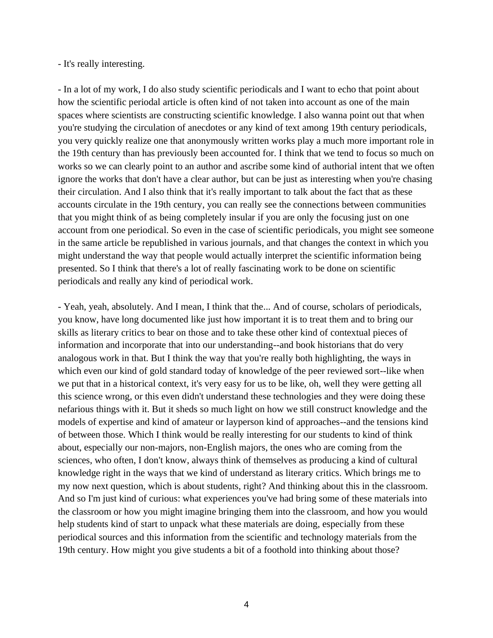## - It's really interesting.

- In a lot of my work, I do also study scientific periodicals and I want to echo that point about how the scientific periodal article is often kind of not taken into account as one of the main spaces where scientists are constructing scientific knowledge. I also wanna point out that when you're studying the circulation of anecdotes or any kind of text among 19th century periodicals, you very quickly realize one that anonymously written works play a much more important role in the 19th century than has previously been accounted for. I think that we tend to focus so much on works so we can clearly point to an author and ascribe some kind of authorial intent that we often ignore the works that don't have a clear author, but can be just as interesting when you're chasing their circulation. And I also think that it's really important to talk about the fact that as these accounts circulate in the 19th century, you can really see the connections between communities that you might think of as being completely insular if you are only the focusing just on one account from one periodical. So even in the case of scientific periodicals, you might see someone in the same article be republished in various journals, and that changes the context in which you might understand the way that people would actually interpret the scientific information being presented. So I think that there's a lot of really fascinating work to be done on scientific periodicals and really any kind of periodical work.

- Yeah, yeah, absolutely. And I mean, I think that the... And of course, scholars of periodicals, you know, have long documented like just how important it is to treat them and to bring our skills as literary critics to bear on those and to take these other kind of contextual pieces of information and incorporate that into our understanding--and book historians that do very analogous work in that. But I think the way that you're really both highlighting, the ways in which even our kind of gold standard today of knowledge of the peer reviewed sort--like when we put that in a historical context, it's very easy for us to be like, oh, well they were getting all this science wrong, or this even didn't understand these technologies and they were doing these nefarious things with it. But it sheds so much light on how we still construct knowledge and the models of expertise and kind of amateur or layperson kind of approaches--and the tensions kind of between those. Which I think would be really interesting for our students to kind of think about, especially our non-majors, non-English majors, the ones who are coming from the sciences, who often, I don't know, always think of themselves as producing a kind of cultural knowledge right in the ways that we kind of understand as literary critics. Which brings me to my now next question, which is about students, right? And thinking about this in the classroom. And so I'm just kind of curious: what experiences you've had bring some of these materials into the classroom or how you might imagine bringing them into the classroom, and how you would help students kind of start to unpack what these materials are doing, especially from these periodical sources and this information from the scientific and technology materials from the 19th century. How might you give students a bit of a foothold into thinking about those?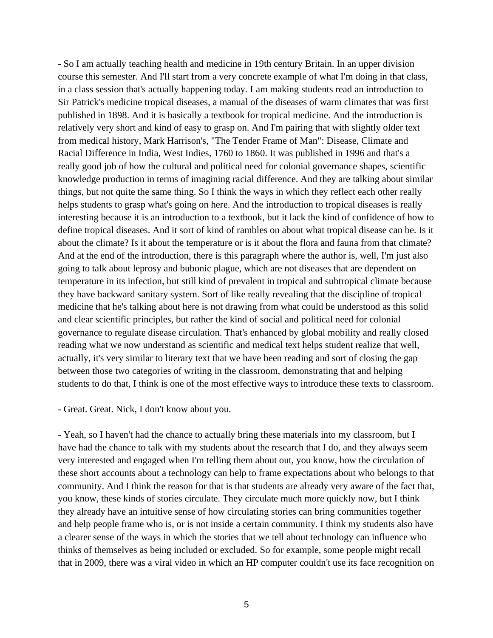- So I am actually teaching health and medicine in 19th century Britain. In an upper division course this semester. And I'll start from a very concrete example of what I'm doing in that class, in a class session that's actually happening today. I am making students read an introduction to Sir Patrick's medicine tropical diseases, a manual of the diseases of warm climates that was first published in 1898. And it is basically a textbook for tropical medicine. And the introduction is relatively very short and kind of easy to grasp on. And I'm pairing that with slightly older text from medical history, Mark Harrison's, "The Tender Frame of Man": Disease, Climate and Racial Difference in India, West Indies, 1760 to 1860. It was published in 1996 and that's a really good job of how the cultural and political need for colonial governance shapes, scientific knowledge production in terms of imagining racial difference. And they are talking about similar things, but not quite the same thing. So I think the ways in which they reflect each other really helps students to grasp what's going on here. And the introduction to tropical diseases is really interesting because it is an introduction to a textbook, but it lack the kind of confidence of how to define tropical diseases. And it sort of kind of rambles on about what tropical disease can be. Is it about the climate? Is it about the temperature or is it about the flora and fauna from that climate? And at the end of the introduction, there is this paragraph where the author is, well, I'm just also going to talk about leprosy and bubonic plague, which are not diseases that are dependent on temperature in its infection, but still kind of prevalent in tropical and subtropical climate because they have backward sanitary system. Sort of like really revealing that the discipline of tropical medicine that he's talking about here is not drawing from what could be understood as this solid and clear scientific principles, but rather the kind of social and political need for colonial governance to regulate disease circulation. That's enhanced by global mobility and really closed reading what we now understand as scientific and medical text helps student realize that well, actually, it's very similar to literary text that we have been reading and sort of closing the gap between those two categories of writing in the classroom, demonstrating that and helping students to do that, I think is one of the most effective ways to introduce these texts to classroom.

- Great. Great. Nick, I don't know about you.

- Yeah, so I haven't had the chance to actually bring these materials into my classroom, but I have had the chance to talk with my students about the research that I do, and they always seem very interested and engaged when I'm telling them about out, you know, how the circulation of these short accounts about a technology can help to frame expectations about who belongs to that community. And I think the reason for that is that students are already very aware of the fact that, you know, these kinds of stories circulate. They circulate much more quickly now, but I think they already have an intuitive sense of how circulating stories can bring communities together and help people frame who is, or is not inside a certain community. I think my students also have a clearer sense of the ways in which the stories that we tell about technology can influence who thinks of themselves as being included or excluded. So for example, some people might recall that in 2009, there was a viral video in which an HP computer couldn't use its face recognition on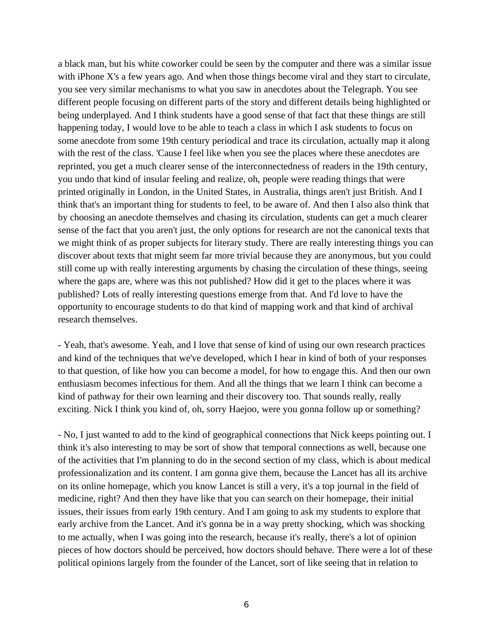a black man, but his white coworker could be seen by the computer and there was a similar issue with iPhone X's a few years ago. And when those things become viral and they start to circulate, you see very similar mechanisms to what you saw in anecdotes about the Telegraph. You see different people focusing on different parts of the story and different details being highlighted or being underplayed. And I think students have a good sense of that fact that these things are still happening today, I would love to be able to teach a class in which I ask students to focus on some anecdote from some 19th century periodical and trace its circulation, actually map it along with the rest of the class. 'Cause I feel like when you see the places where these anecdotes are reprinted, you get a much clearer sense of the interconnectedness of readers in the 19th century, you undo that kind of insular feeling and realize, oh, people were reading things that were printed originally in London, in the United States, in Australia, things aren't just British. And I think that's an important thing for students to feel, to be aware of. And then I also also think that by choosing an anecdote themselves and chasing its circulation, students can get a much clearer sense of the fact that you aren't just, the only options for research are not the canonical texts that we might think of as proper subjects for literary study. There are really interesting things you can discover about texts that might seem far more trivial because they are anonymous, but you could still come up with really interesting arguments by chasing the circulation of these things, seeing where the gaps are, where was this not published? How did it get to the places where it was published? Lots of really interesting questions emerge from that. And I'd love to have the opportunity to encourage students to do that kind of mapping work and that kind of archival research themselves.

- Yeah, that's awesome. Yeah, and I love that sense of kind of using our own research practices and kind of the techniques that we've developed, which I hear in kind of both of your responses to that question, of like how you can become a model, for how to engage this. And then our own enthusiasm becomes infectious for them. And all the things that we learn I think can become a kind of pathway for their own learning and their discovery too. That sounds really, really exciting. Nick I think you kind of, oh, sorry Haejoo, were you gonna follow up or something?

- No, I just wanted to add to the kind of geographical connections that Nick keeps pointing out. I think it's also interesting to may be sort of show that temporal connections as well, because one of the activities that I'm planning to do in the second section of my class, which is about medical professionalization and its content. I am gonna give them, because the Lancet has all its archive on its online homepage, which you know Lancet is still a very, it's a top journal in the field of medicine, right? And then they have like that you can search on their homepage, their initial issues, their issues from early 19th century. And I am going to ask my students to explore that early archive from the Lancet. And it's gonna be in a way pretty shocking, which was shocking to me actually, when I was going into the research, because it's really, there's a lot of opinion pieces of how doctors should be perceived, how doctors should behave. There were a lot of these political opinions largely from the founder of the Lancet, sort of like seeing that in relation to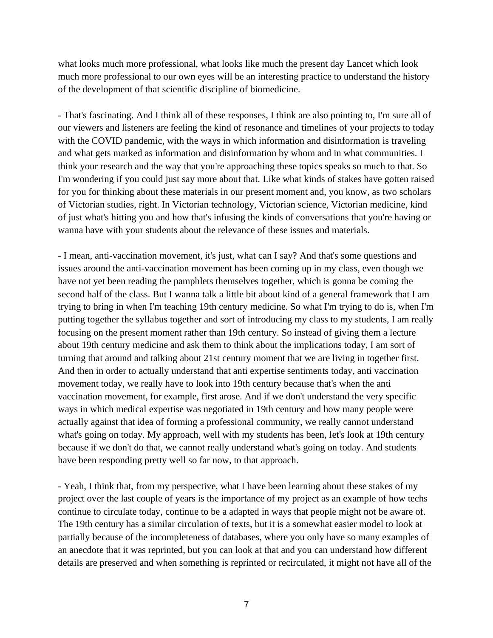what looks much more professional, what looks like much the present day Lancet which look much more professional to our own eyes will be an interesting practice to understand the history of the development of that scientific discipline of biomedicine.

- That's fascinating. And I think all of these responses, I think are also pointing to, I'm sure all of our viewers and listeners are feeling the kind of resonance and timelines of your projects to today with the COVID pandemic, with the ways in which information and disinformation is traveling and what gets marked as information and disinformation by whom and in what communities. I think your research and the way that you're approaching these topics speaks so much to that. So I'm wondering if you could just say more about that. Like what kinds of stakes have gotten raised for you for thinking about these materials in our present moment and, you know, as two scholars of Victorian studies, right. In Victorian technology, Victorian science, Victorian medicine, kind of just what's hitting you and how that's infusing the kinds of conversations that you're having or wanna have with your students about the relevance of these issues and materials.

- I mean, anti-vaccination movement, it's just, what can I say? And that's some questions and issues around the anti-vaccination movement has been coming up in my class, even though we have not yet been reading the pamphlets themselves together, which is gonna be coming the second half of the class. But I wanna talk a little bit about kind of a general framework that I am trying to bring in when I'm teaching 19th century medicine. So what I'm trying to do is, when I'm putting together the syllabus together and sort of introducing my class to my students, I am really focusing on the present moment rather than 19th century. So instead of giving them a lecture about 19th century medicine and ask them to think about the implications today, I am sort of turning that around and talking about 21st century moment that we are living in together first. And then in order to actually understand that anti expertise sentiments today, anti vaccination movement today, we really have to look into 19th century because that's when the anti vaccination movement, for example, first arose. And if we don't understand the very specific ways in which medical expertise was negotiated in 19th century and how many people were actually against that idea of forming a professional community, we really cannot understand what's going on today. My approach, well with my students has been, let's look at 19th century because if we don't do that, we cannot really understand what's going on today. And students have been responding pretty well so far now, to that approach.

- Yeah, I think that, from my perspective, what I have been learning about these stakes of my project over the last couple of years is the importance of my project as an example of how techs continue to circulate today, continue to be a adapted in ways that people might not be aware of. The 19th century has a similar circulation of texts, but it is a somewhat easier model to look at partially because of the incompleteness of databases, where you only have so many examples of an anecdote that it was reprinted, but you can look at that and you can understand how different details are preserved and when something is reprinted or recirculated, it might not have all of the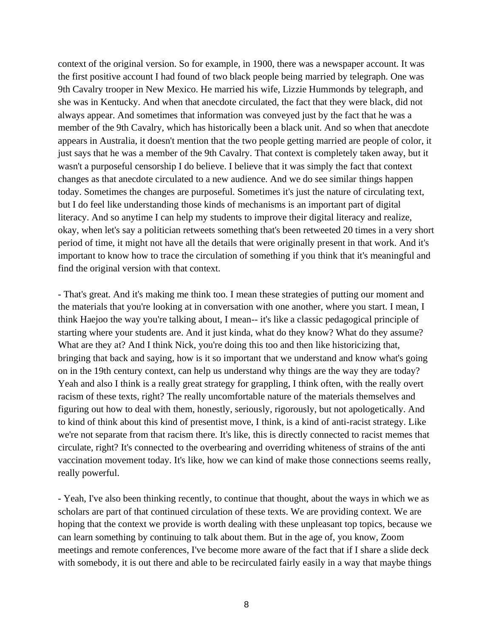context of the original version. So for example, in 1900, there was a newspaper account. It was the first positive account I had found of two black people being married by telegraph. One was 9th Cavalry trooper in New Mexico. He married his wife, Lizzie Hummonds by telegraph, and she was in Kentucky. And when that anecdote circulated, the fact that they were black, did not always appear. And sometimes that information was conveyed just by the fact that he was a member of the 9th Cavalry, which has historically been a black unit. And so when that anecdote appears in Australia, it doesn't mention that the two people getting married are people of color, it just says that he was a member of the 9th Cavalry. That context is completely taken away, but it wasn't a purposeful censorship I do believe. I believe that it was simply the fact that context changes as that anecdote circulated to a new audience. And we do see similar things happen today. Sometimes the changes are purposeful. Sometimes it's just the nature of circulating text, but I do feel like understanding those kinds of mechanisms is an important part of digital literacy. And so anytime I can help my students to improve their digital literacy and realize, okay, when let's say a politician retweets something that's been retweeted 20 times in a very short period of time, it might not have all the details that were originally present in that work. And it's important to know how to trace the circulation of something if you think that it's meaningful and find the original version with that context.

- That's great. And it's making me think too. I mean these strategies of putting our moment and the materials that you're looking at in conversation with one another, where you start. I mean, I think Haejoo the way you're talking about, I mean-- it's like a classic pedagogical principle of starting where your students are. And it just kinda, what do they know? What do they assume? What are they at? And I think Nick, you're doing this too and then like historicizing that, bringing that back and saying, how is it so important that we understand and know what's going on in the 19th century context, can help us understand why things are the way they are today? Yeah and also I think is a really great strategy for grappling, I think often, with the really overt racism of these texts, right? The really uncomfortable nature of the materials themselves and figuring out how to deal with them, honestly, seriously, rigorously, but not apologetically. And to kind of think about this kind of presentist move, I think, is a kind of anti-racist strategy. Like we're not separate from that racism there. It's like, this is directly connected to racist memes that circulate, right? It's connected to the overbearing and overriding whiteness of strains of the anti vaccination movement today. It's like, how we can kind of make those connections seems really, really powerful.

- Yeah, I've also been thinking recently, to continue that thought, about the ways in which we as scholars are part of that continued circulation of these texts. We are providing context. We are hoping that the context we provide is worth dealing with these unpleasant top topics, because we can learn something by continuing to talk about them. But in the age of, you know, Zoom meetings and remote conferences, I've become more aware of the fact that if I share a slide deck with somebody, it is out there and able to be recirculated fairly easily in a way that maybe things